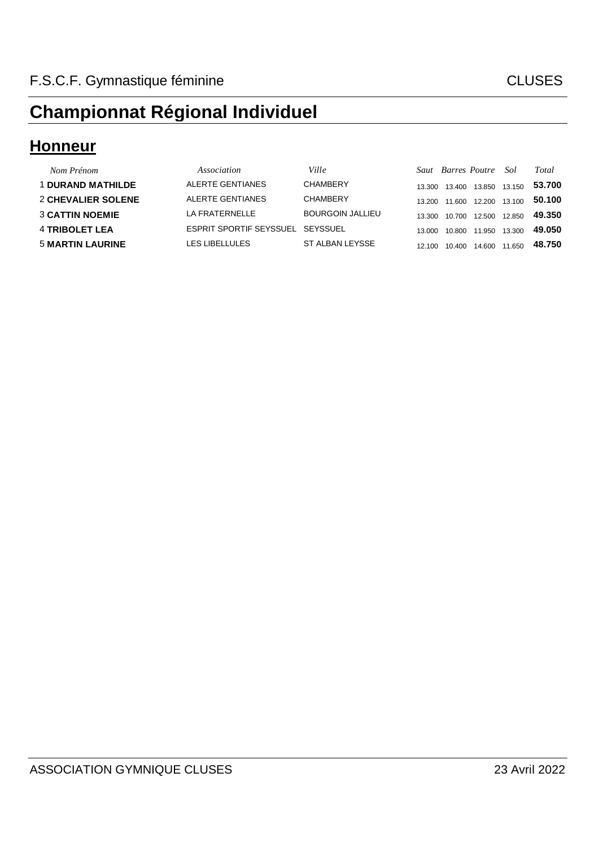#### **Honneur**

| Nom Prénom               | Association                      | Ville            |        |        | Saut Barres Poutre Sol |        | Total  |
|--------------------------|----------------------------------|------------------|--------|--------|------------------------|--------|--------|
| <b>1 DURAND MATHILDE</b> | ALERTE GENTIANES                 | <b>CHAMBERY</b>  | 13.300 | 13.400 | 13.850 13.150          |        | 53.700 |
| 2 CHEVALIER SOLENE       | ALERTE GENTIANES                 | <b>CHAMBERY</b>  | 13 200 | 11.600 | 12.200 13.100          |        | 50.100 |
| <b>3 CATTIN NOEMIE</b>   | LA FRATERNELLE                   | BOURGOIN JALLIEU | 13.300 | 10.700 | 12.500 12.850          |        | 49.350 |
| <b>4 TRIBOLET LEA</b>    | ESPRIT SPORTIF SEYSSUEL SEYSSUEL |                  | 13,000 | 10.800 | 11.950                 | 13.300 | 49.050 |
| <b>5 MARTIN LAURINE</b>  | LES LIBELLULES                   | ST ALBAN LEYSSE  | 12.100 | 10.400 | 14.600                 | 11.650 | 48.750 |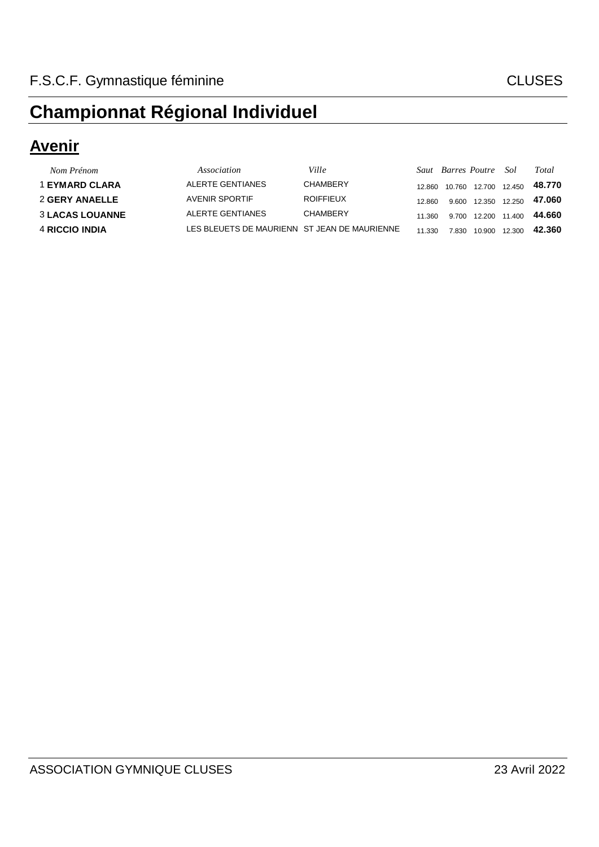#### **Avenir**

| Nom Prénom             | Association                                  | Ville            |        | Saut Barres Poutre Sol |                     |        | Total  |
|------------------------|----------------------------------------------|------------------|--------|------------------------|---------------------|--------|--------|
| <b>1 EYMARD CLARA</b>  | ALERTE GENTIANES                             | <b>CHAMBERY</b>  | 12.860 | 10.760                 | 12.700 12.450       |        | 48.770 |
| <b>2 GERY ANAELLE</b>  | <b>AVENIR SPORTIF</b>                        | <b>ROIFFIEUX</b> | 12860  | 9.600                  | 12.350 12.250       |        | 47.060 |
| <b>3 LACAS LOUANNE</b> | ALERTE GENTIANES                             | <b>CHAMBERY</b>  | 11.360 |                        | 9.700 12.200 11.400 |        | 44.660 |
| 4 RICCIO INDIA         | LES BLEUETS DE MAURIENN ST JEAN DE MAURIENNE |                  | 11.330 | 7.830                  | 10.900              | 12.300 | 42.360 |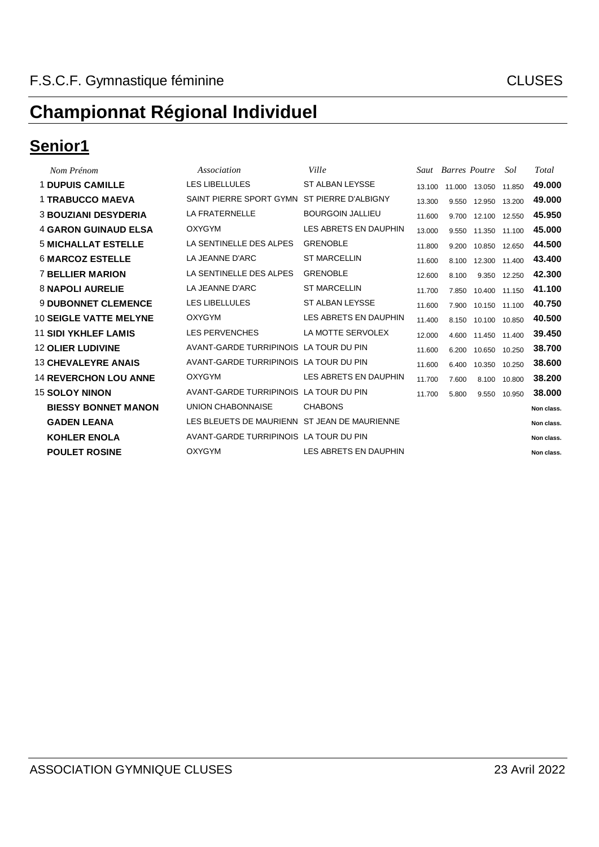#### **Senior1**

| Nom Prénom                    | Association                                  | Ville                   |        | Saut Barres Poutre |               | Sol    | Total      |
|-------------------------------|----------------------------------------------|-------------------------|--------|--------------------|---------------|--------|------------|
| <b>1 DUPUIS CAMILLE</b>       | <b>LES LIBELLULES</b>                        | ST ALBAN LEYSSE         | 13.100 |                    | 11.000 13.050 | 11.850 | 49.000     |
| <b>1 TRABUCCO MAEVA</b>       | SAINT PIERRE SPORT GYMN                      | ST PIERRE D'ALBIGNY     | 13.300 | 9.550              | 12.950        | 13.200 | 49,000     |
| <b>3 BOUZIANI DESYDERIA</b>   | <b>LA FRATERNELLE</b>                        | <b>BOURGOIN JALLIEU</b> | 11.600 | 9.700              | 12.100 12.550 |        | 45.950     |
| <b>4 GARON GUINAUD ELSA</b>   | <b>OXYGYM</b>                                | LES ABRETS EN DAUPHIN   | 13.000 | 9.550              | 11.350        | 11.100 | 45.000     |
| <b>5 MICHALLAT ESTELLE</b>    | LA SENTINELLE DES ALPES                      | <b>GRENOBLE</b>         | 11.800 | 9.200              | 10.850        | 12.650 | 44.500     |
| <b>6 MARCOZ ESTELLE</b>       | LA JEANNE D'ARC                              | <b>ST MARCELLIN</b>     | 11.600 | 8.100              | 12.300        | 11.400 | 43.400     |
| <b>7 BELLIER MARION</b>       | LA SENTINELLE DES ALPES                      | <b>GRENOBLE</b>         | 12.600 | 8.100              | 9.350         | 12.250 | 42.300     |
| <b>8 NAPOLI AURELIE</b>       | LA JEANNE D'ARC                              | <b>ST MARCELLIN</b>     | 11.700 | 7.850              | 10.400 11.150 |        | 41.100     |
| <b>9 DUBONNET CLEMENCE</b>    | LES LIBELLULES                               | ST ALBAN LEYSSE         | 11.600 | 7.900              | 10.150 11.100 |        | 40.750     |
| <b>10 SEIGLE VATTE MELYNE</b> | <b>OXYGYM</b>                                | LES ABRETS EN DAUPHIN   | 11.400 | 8.150              | 10.100 10.850 |        | 40.500     |
| <b>11 SIDI YKHLEF LAMIS</b>   | <b>LES PERVENCHES</b>                        | LA MOTTE SERVOLEX       | 12.000 | 4.600              | 11.450        | 11.400 | 39.450     |
| <b>12 OLIER LUDIVINE</b>      | AVANT-GARDE TURRIPINOIS LA TOUR DU PIN       |                         | 11.600 | 6.200              | 10.650        | 10.250 | 38.700     |
| <b>13 CHEVALEYRE ANAIS</b>    | AVANT-GARDE TURRIPINOIS LA TOUR DU PIN       |                         | 11.600 | 6.400              | 10.350        | 10.250 | 38.600     |
| <b>14 REVERCHON LOU ANNE</b>  | <b>OXYGYM</b>                                | LES ABRETS EN DAUPHIN   | 11.700 | 7.600              | 8.100         | 10.800 | 38.200     |
| <b>15 SOLOY NINON</b>         | AVANT-GARDE TURRIPINOIS LA TOUR DU PIN       |                         | 11.700 | 5.800              | 9.550         | 10.950 | 38.000     |
| <b>BIESSY BONNET MANON</b>    | UNION CHABONNAISE                            | <b>CHABONS</b>          |        |                    |               |        | Non class. |
| <b>GADEN LEANA</b>            | LES BLEUETS DE MAURIENN ST JEAN DE MAURIENNE |                         |        |                    |               |        | Non class. |
| <b>KOHLER ENOLA</b>           | AVANT-GARDE TURRIPINOIS LA TOUR DU PIN       |                         |        |                    |               |        | Non class. |
| <b>POULET ROSINE</b>          | <b>OXYGYM</b>                                | LES ABRETS EN DAUPHIN   |        |                    |               |        | Non class. |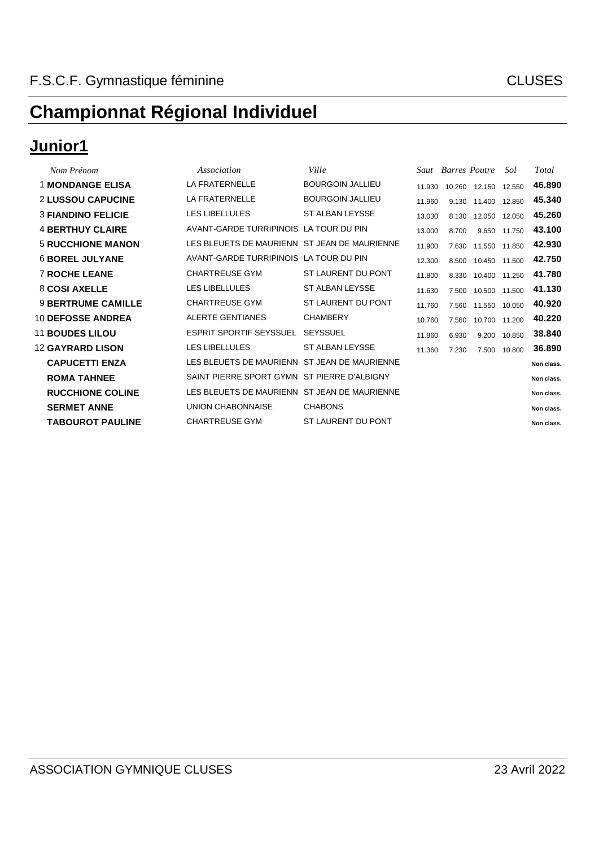#### **Junior1**

| Nom Prénom                | Association                                  | Ville                   |        | Saut Barres Poutre |                     | Sol    | Total      |
|---------------------------|----------------------------------------------|-------------------------|--------|--------------------|---------------------|--------|------------|
| <b>1 MONDANGE ELISA</b>   | LA FRATERNELLE                               | <b>BOURGOIN JALLIEU</b> | 11.930 |                    | 10.260 12.150       | 12.550 | 46.890     |
| <b>2 LUSSOU CAPUCINE</b>  | <b>LA FRATERNELLE</b>                        | <b>BOURGOIN JALLIEU</b> | 11.960 | 9.130              | 11.400              | 12.850 | 45.340     |
| <b>3 FIANDINO FELICIE</b> | <b>LES LIBELLULES</b>                        | ST ALBAN LEYSSE         | 13.030 | 8.130              | 12.050              | 12.050 | 45.260     |
| <b>4 BERTHUY CLAIRE</b>   | AVANT-GARDE TURRIPINOIS LA TOUR DU PIN       |                         | 13.000 | 8.700              | 9.650               | 11.750 | 43.100     |
| <b>5 RUCCHIONE MANON</b>  | LES BLEUETS DE MAURIENN ST JEAN DE MAURIENNE |                         | 11.900 | 7.630              | 11.550              | 11.850 | 42.930     |
| <b>6 BOREL JULYANE</b>    | AVANT-GARDE TURRIPINOIS LA TOUR DU PIN       |                         | 12.300 |                    | 8.500 10.450 11.500 |        | 42.750     |
| <b>7 ROCHE LEANE</b>      | <b>CHARTREUSE GYM</b>                        | ST LAURENT DU PONT      | 11.800 | 8.330              | 10.400              | 11.250 | 41.780     |
| 8 COSI AXELLE             | <b>LES LIBELLULES</b>                        | ST ALBAN LEYSSE         | 11.630 | 7.500              | 10.500              | 11.500 | 41.130     |
| <b>9 BERTRUME CAMILLE</b> | <b>CHARTREUSE GYM</b>                        | ST LAURENT DU PONT      | 11.760 | 7.560              | 11.550              | 10.050 | 40.920     |
| <b>10 DEFOSSE ANDREA</b>  | ALERTE GENTIANES                             | <b>CHAMBERY</b>         | 10.760 | 7.560              | 10.700              | 11.200 | 40.220     |
| <b>11 BOUDES LILOU</b>    | <b>ESPRIT SPORTIF SEYSSUEL</b>               | <b>SEYSSUEL</b>         | 11.860 | 6.930              | 9.200               | 10.850 | 38.840     |
| <b>12 GAYRARD LISON</b>   | LES LIBELLULES                               | ST ALBAN LEYSSE         | 11.360 | 7.230              | 7.500               | 10.800 | 36.890     |
| <b>CAPUCETTI ENZA</b>     | LES BLEUETS DE MAURIENN ST JEAN DE MAURIENNE |                         |        |                    |                     |        | Non class. |
| <b>ROMA TAHNEE</b>        | SAINT PIERRE SPORT GYMN ST PIERRE D'ALBIGNY  |                         |        |                    |                     |        | Non class. |
| <b>RUCCHIONE COLINE</b>   | LES BLEUETS DE MAURIENN ST JEAN DE MAURIENNE |                         |        |                    |                     |        | Non class. |
| <b>SERMET ANNE</b>        | <b>UNION CHABONNAISE</b>                     | <b>CHABONS</b>          |        |                    |                     |        | Non class. |
| <b>TABOUROT PAULINE</b>   | <b>CHARTREUSE GYM</b>                        | ST LAURENT DU PONT      |        |                    |                     |        | Non class. |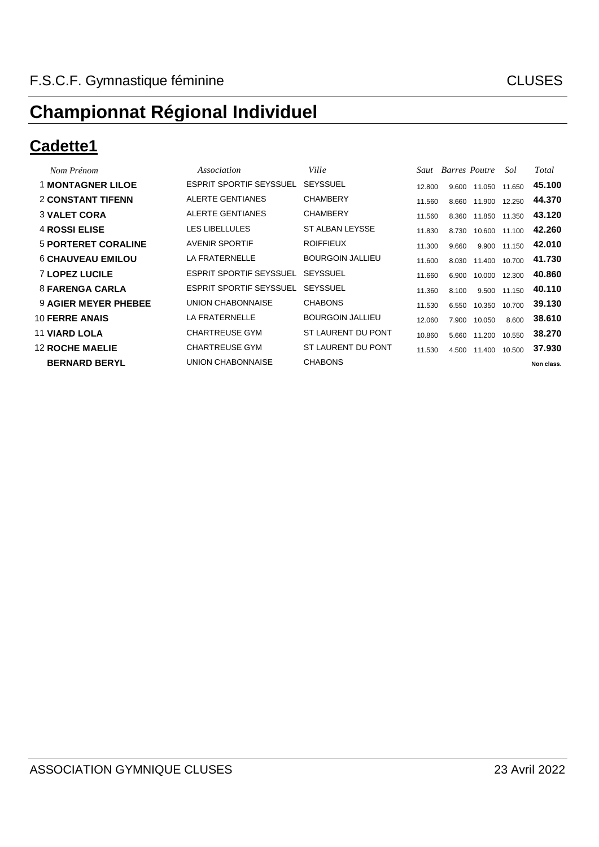#### **Cadette1**

| Nom Prénom                  | Association                    | Ville                   |        | Saut Barres Poutre |               | Sol          | Total      |
|-----------------------------|--------------------------------|-------------------------|--------|--------------------|---------------|--------------|------------|
| <b>1 MONTAGNER LILOE</b>    | <b>ESPRIT SPORTIF SEYSSUEL</b> | <b>SEYSSUEL</b>         | 12.800 | 9.600              | 11.050        | 11.650       | 45.100     |
| <b>2 CONSTANT TIFENN</b>    | ALERTE GENTIANES               | <b>CHAMBERY</b>         | 11.560 | 8.660              | 11.900 12.250 |              | 44.370     |
| <b>3 VALET CORA</b>         | ALERTE GENTIANES               | <b>CHAMBERY</b>         | 11.560 | 8.360              | 11.850 11.350 |              | 43.120     |
| <b>4 ROSSI ELISE</b>        | <b>LES LIBELLULES</b>          | ST ALBAN LEYSSE         | 11.830 | 8.730              | 10.600 11.100 |              | 42.260     |
| <b>5 PORTERET CORALINE</b>  | <b>AVENIR SPORTIF</b>          | <b>ROIFFIEUX</b>        | 11.300 | 9.660              |               | 9.900 11.150 | 42.010     |
| <b>6 CHAUVEAU EMILOU</b>    | LA FRATERNELLE                 | <b>BOURGOIN JALLIEU</b> | 11.600 | 8.030              | 11.400        | 10.700       | 41.730     |
| <b>7 LOPEZ LUCILE</b>       | ESPRIT SPORTIF SEYSSUEL        | <b>SEYSSUEL</b>         | 11.660 | 6.900              | 10.000        | 12.300       | 40.860     |
| 8 FARENGA CARLA             | <b>ESPRIT SPORTIF SEYSSUEL</b> | <b>SEYSSUEL</b>         | 11.360 | 8.100              |               | 9.500 11.150 | 40.110     |
| <b>9 AGIER MEYER PHEBEE</b> | UNION CHABONNAISE              | <b>CHABONS</b>          | 11.530 | 6.550              | 10.350        | 10.700       | 39.130     |
| <b>10 FERRE ANAIS</b>       | LA FRATERNELLE                 | <b>BOURGOIN JALLIEU</b> | 12.060 | 7.900              | 10.050        | 8.600        | 38,610     |
| <b>11 VIARD LOLA</b>        | <b>CHARTREUSE GYM</b>          | ST LAURENT DU PONT      | 10.860 | 5.660              | 11.200        | 10.550       | 38.270     |
| <b>12 ROCHE MAELIE</b>      | <b>CHARTREUSE GYM</b>          | ST LAURENT DU PONT      | 11.530 | 4.500              | 11.400        | 10.500       | 37.930     |
| <b>BERNARD BERYL</b>        | UNION CHABONNAISE              | <b>CHABONS</b>          |        |                    |               |              | Non class. |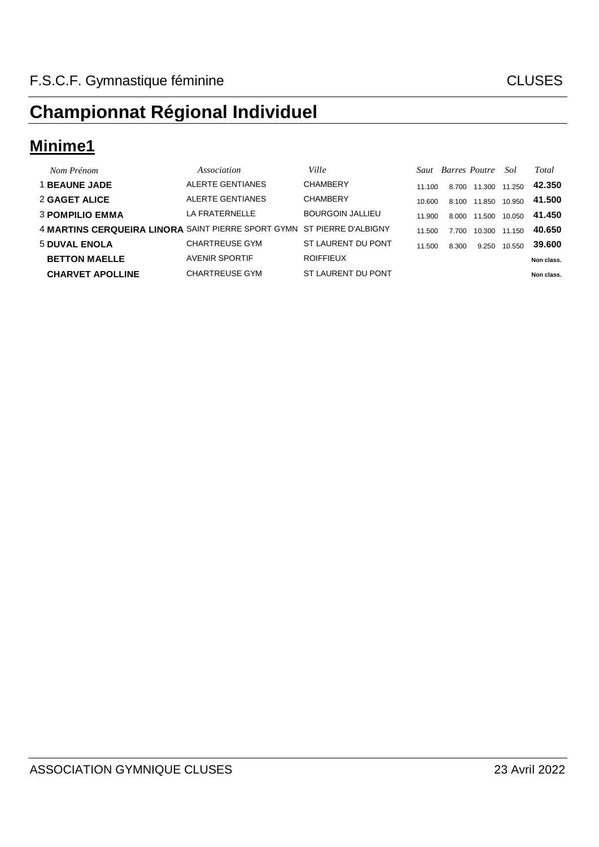### **Minime1**

| Nom Prénom                                                             | Association           | Ville                   |        |       | <b>Saut</b> Barres Poutre | Sol    | Total      |
|------------------------------------------------------------------------|-----------------------|-------------------------|--------|-------|---------------------------|--------|------------|
| <b>1 BEAUNE JADE</b>                                                   | ALERTE GENTIANES      | <b>CHAMBERY</b>         | 11 100 | 8.700 | 11.300                    | 11.250 | 42.350     |
| 2 GAGET ALICE                                                          | ALERTE GENTIANES      | <b>CHAMBERY</b>         | 10.600 | 8.100 | 11.850                    | 10.950 | 41.500     |
| <b>3 POMPILIO EMMA</b>                                                 | LA FRATERNELLE        | <b>BOURGOIN JALLIEU</b> | 11.900 | 8.000 | 11.500                    | 10.050 | 41.450     |
| 4 MARTINS CERQUEIRA LINORA SAINT PIERRE SPORT GYMN ST PIERRE D'ALBIGNY |                       |                         | 11.500 | 7.700 | 10.300                    | 11.150 | 40.650     |
| <b>5 DUVAL ENOLA</b>                                                   | <b>CHARTREUSE GYM</b> | ST LAURENT DU PONT      | 11.500 | 8.300 | 9.250                     | 10.550 | 39.600     |
| <b>BETTON MAELLE</b>                                                   | <b>AVENIR SPORTIF</b> | <b>ROIFFIEUX</b>        |        |       |                           |        | Non class. |
| <b>CHARVET APOLLINE</b>                                                | <b>CHARTREUSE GYM</b> | ST LAURENT DU PONT      |        |       |                           |        | Non class. |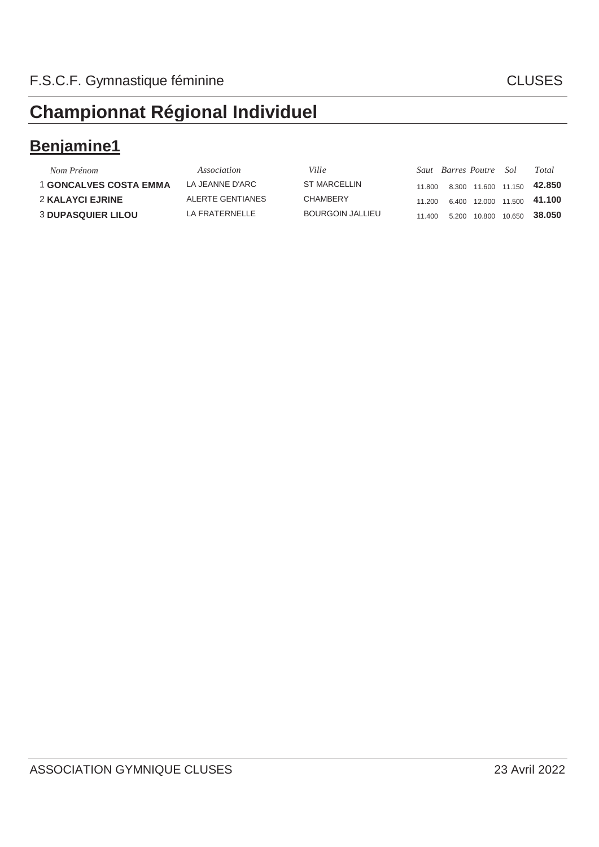### **Benjamine1**

| Nom Prénom                    | Association       | <i>Ville</i>        |        | Saut Barres Poutre Sol |                     |                     | Total  |
|-------------------------------|-------------------|---------------------|--------|------------------------|---------------------|---------------------|--------|
| <b>1 GONCALVES COSTA EMMA</b> | LA JEANNE D'ARC   | <b>ST MARCELLIN</b> | 11.800 |                        | 8.300 11.600 11.150 |                     | 42.850 |
| <b>2 KALAYCI EJRINE</b>       | ALERTE GENTIANES  | <b>CHAMBERY</b>     | 11 200 |                        |                     | 6.400 12.000 11.500 | 41.100 |
| <b>3 DUPASQUIER LILOU</b>     | I A FRATFRNFI I F | BOURGOIN JALLIEU    | 11.400 |                        | 5.200 10.800 10.650 |                     | 38.050 |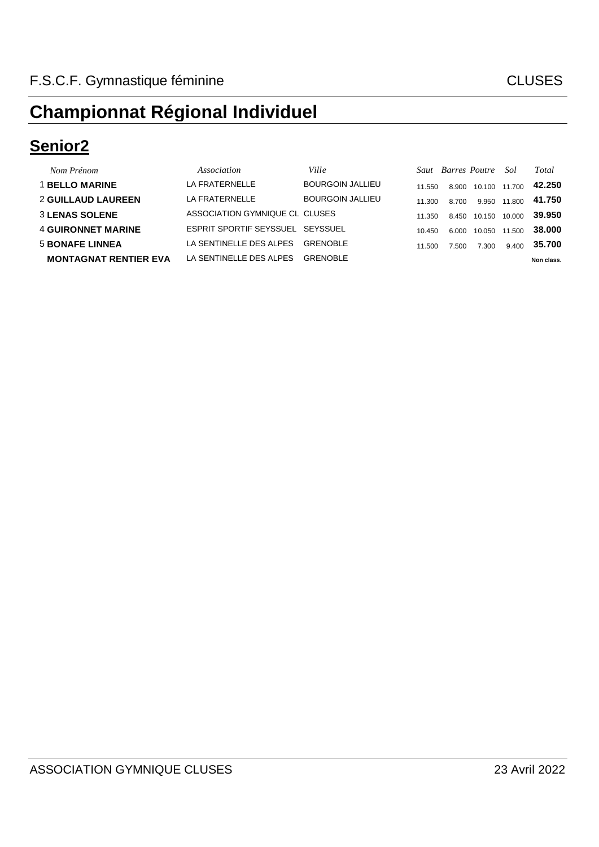### **Senior2**

| Nom Prénom                   | Association                    | Ville                   |        |       | Saut Barres Poutre | Sol    | Total      |
|------------------------------|--------------------------------|-------------------------|--------|-------|--------------------|--------|------------|
| <b>1 BELLO MARINE</b>        | LA FRATERNELLE                 | <b>BOURGOIN JALLIEU</b> | 11.550 | 8.900 | 10.100             | 11.700 | 42.250     |
| <b>2 GUILLAUD LAUREEN</b>    | LA FRATERNELLE                 | <b>BOURGOIN JALLIEU</b> | 11.300 | 8.700 | 9.950              | 11.800 | 41.750     |
| <b>3 LENAS SOLENE</b>        | ASSOCIATION GYMNIQUE CL CLUSES |                         | 11.350 | 8.450 | 10.150             | 10.000 | 39,950     |
| <b>4 GUIRONNET MARINE</b>    | <b>ESPRIT SPORTIF SEYSSUEL</b> | SEYSSUEL                | 10.450 | 6.000 | 10.050             | 11.500 | 38.000     |
| <b>5 BONAFE LINNEA</b>       | LA SENTINELLE DES ALPES        | <b>GRENOBLE</b>         | 11.500 | 7.500 | 7.300              | 9.400  | 35.700     |
| <b>MONTAGNAT RENTIER EVA</b> | LA SENTINELLE DES ALPES        | <b>GRENOBLE</b>         |        |       |                    |        | Non class. |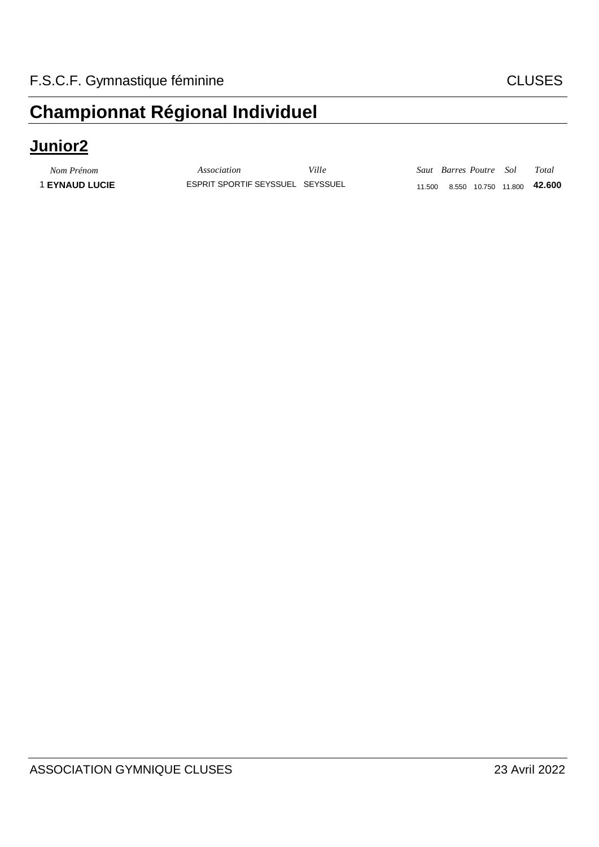#### **Junior2**

**1 EYNAUD LUCIE** 

| Nom Prénom          | Association                      | Ville |  | Saut Barres Poutre Sol | Total                                       |
|---------------------|----------------------------------|-------|--|------------------------|---------------------------------------------|
| <b>EYNAUD LUCIE</b> | ESPRIT SPORTIF SEYSSUEL SEYSSUEL |       |  |                        | 11.500  8.550  10.750  11.800 <b>42.600</b> |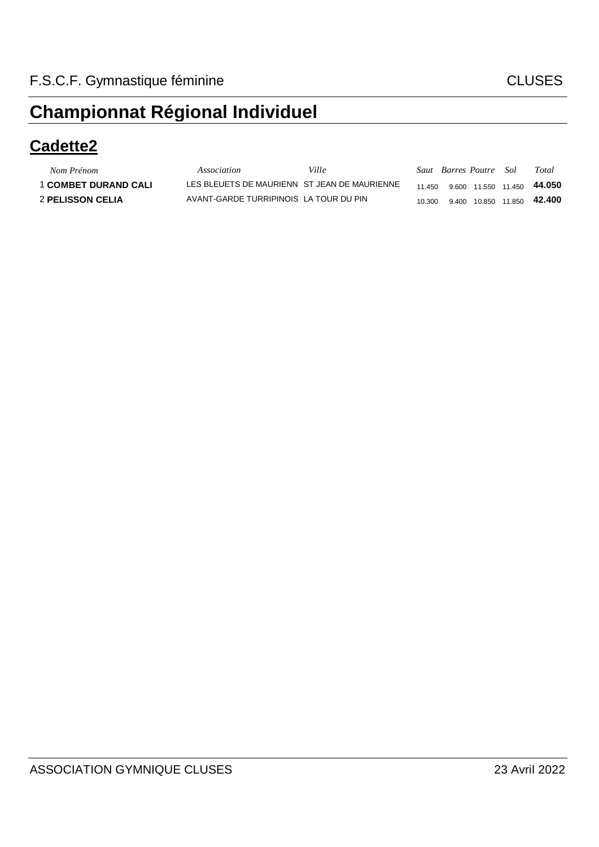#### **Cadette2**

| Nom Prénom                  | Association                                  | Ville |        | Saut Barres Poutre Sol |  | Total                                       |
|-----------------------------|----------------------------------------------|-------|--------|------------------------|--|---------------------------------------------|
| <b>1 COMBET DURAND CALI</b> | LES BLEUETS DE MAURIENN ST JEAN DE MAURIENNE |       |        |                        |  | 11.450  9.600  11.550  11.450 <b>44.050</b> |
| <b>2 PELISSON CELIA</b>     | AVANT-GARDE TURRIPINOIS LA TOUR DU PIN       |       | 10.300 |                        |  | 9.400 10.850 11.850 <b>42.400</b>           |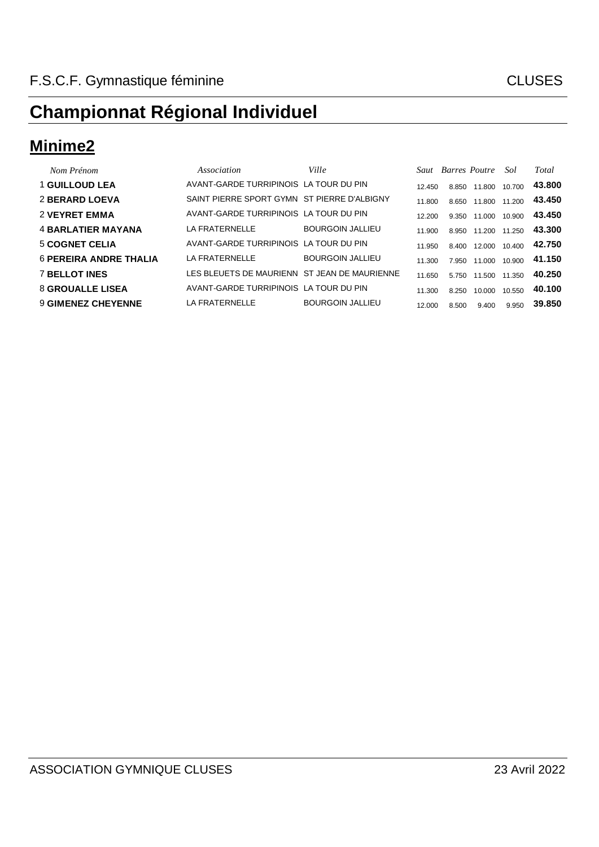#### **Minime2**

| Nom Prénom                    | Association                                  | Ville                   |        | <b>Saut</b> Barres Poutre |                     | Sol    | Total  |
|-------------------------------|----------------------------------------------|-------------------------|--------|---------------------------|---------------------|--------|--------|
| <b>1 GUILLOUD LEA</b>         | AVANT-GARDE TURRIPINOIS LA TOUR DU PIN       |                         | 12.450 | 8.850                     | 11.800              | 10.700 | 43.800 |
| <b>2 BERARD LOEVA</b>         | SAINT PIERRE SPORT GYMN ST PIERRE D'ALBIGNY  |                         | 11.800 | 8.650                     | 11.800              | 11.200 | 43.450 |
| <b>2 VEYRET EMMA</b>          | AVANT-GARDE TURRIPINOIS LA TOUR DU PIN       |                         | 12.200 | 9.350                     | 11.000              | 10.900 | 43.450 |
| <b>4 BARLATIER MAYANA</b>     | LA FRATERNELLE                               | <b>BOURGOIN JALLIEU</b> | 11.900 |                           | 8.950 11.200 11.250 |        | 43.300 |
| <b>5 COGNET CELIA</b>         | AVANT-GARDE TURRIPINOIS LA TOUR DU PIN       |                         | 11.950 | 8.400                     | 12.000 10.400       |        | 42.750 |
| <b>6 PEREIRA ANDRE THALIA</b> | LA FRATERNELLE                               | <b>BOURGOIN JALLIEU</b> | 11.300 | 7.950                     | 11.000              | 10.900 | 41.150 |
| <b>7 BELLOT INES</b>          | LES BLEUETS DE MAURIENN ST JEAN DE MAURIENNE |                         | 11.650 | 5.750                     | 11.500              | 11.350 | 40.250 |
| <b>8 GROUALLE LISEA</b>       | AVANT-GARDE TURRIPINOIS LA TOUR DU PIN       |                         | 11.300 | 8.250                     | 10.000              | 10.550 | 40.100 |
| <b>9 GIMENEZ CHEYENNE</b>     | LA FRATERNELLE                               | <b>BOURGOIN JALLIEU</b> | 12.000 | 8.500                     | 9.400               | 9.950  | 39.850 |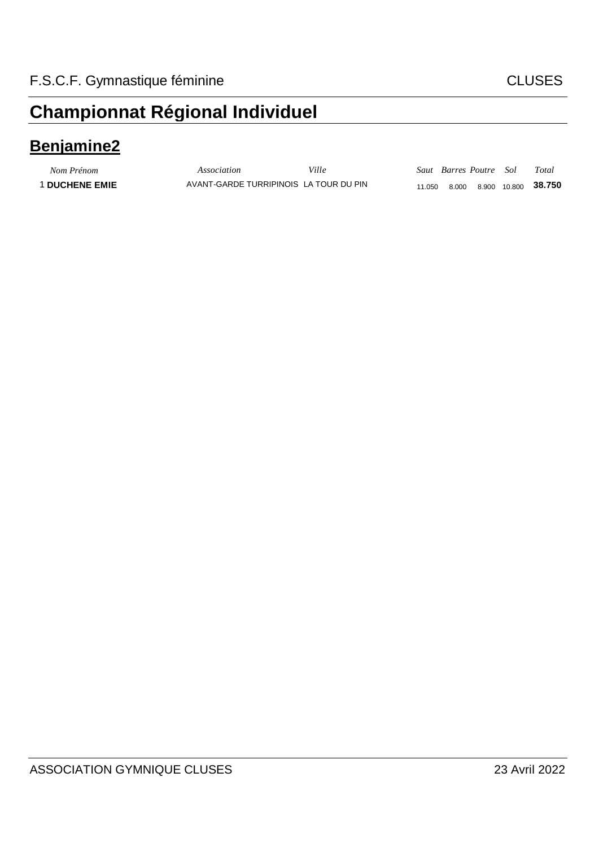#### **Benjamine2**

*Nom Prénom Association Ville Saut Barres Poutre Sol Total* 1 **DUCHENE EMIE** AVANT-GARDE TURRIPINOIS LA TOUR DU PIN 11.050 8.000 8.900 10.800 **38.750**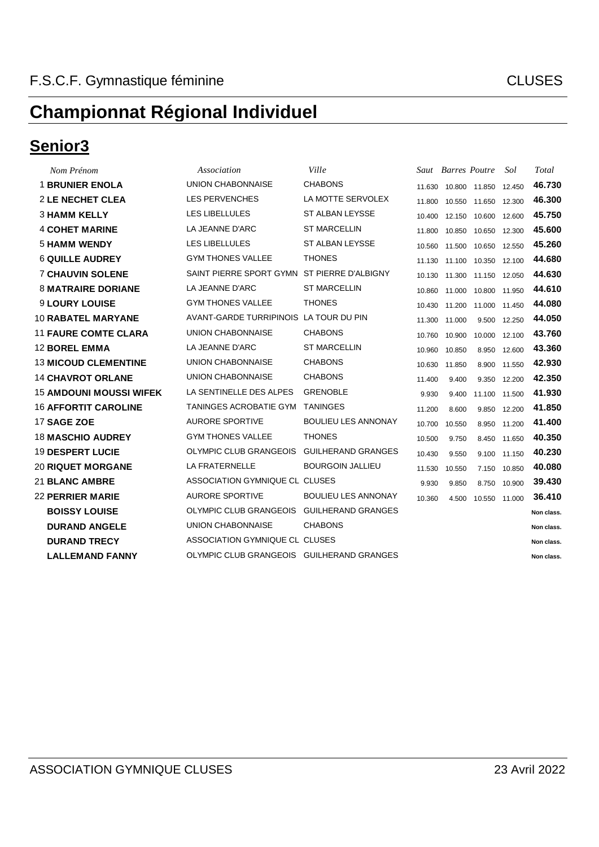#### **Senior3**

| Nom Prénom                     | Association                                 | Ville                      |        | Saut Barres Poutre |                                | Sol    | Total      |
|--------------------------------|---------------------------------------------|----------------------------|--------|--------------------|--------------------------------|--------|------------|
| <b>1 BRUNIER ENOLA</b>         | <b>UNION CHABONNAISE</b>                    | <b>CHABONS</b>             | 11.630 |                    | 10.800 11.850                  | 12.450 | 46.730     |
| <b>2 LE NECHET CLEA</b>        | <b>LES PERVENCHES</b>                       | LA MOTTE SERVOLEX          |        |                    | 11.800 10.550 11.650 12.300    |        | 46.300     |
| <b>3 HAMM KELLY</b>            | LES LIBELLULES                              | <b>ST ALBAN LEYSSE</b>     | 10.400 |                    | 12.150 10.600                  | 12.600 | 45.750     |
| <b>4 COHET MARINE</b>          | LA JEANNE D'ARC                             | <b>ST MARCELLIN</b>        | 11.800 |                    | 10.850 10.650                  | 12.300 | 45.600     |
| <b>5 HAMM WENDY</b>            | <b>LES LIBELLULES</b>                       | <b>ST ALBAN LEYSSE</b>     |        |                    | 10.560  11.500  10.650  12.550 |        | 45.260     |
| <b>6 QUILLE AUDREY</b>         | <b>GYM THONES VALLEE</b>                    | <b>THONES</b>              | 11.130 |                    | 11.100 10.350                  | 12.100 | 44.680     |
| <b>7 CHAUVIN SOLENE</b>        | SAINT PIERRE SPORT GYMN ST PIERRE D'ALBIGNY |                            |        |                    | 10.130  11.300  11.150  12.050 |        | 44.630     |
| <b>8 MATRAIRE DORIANE</b>      | LA JEANNE D'ARC                             | <b>ST MARCELLIN</b>        | 10.860 |                    | 11.000 10.800                  | 11.950 | 44.610     |
| <b>9 LOURY LOUISE</b>          | <b>GYM THONES VALLEE</b>                    | <b>THONES</b>              | 10.430 |                    | 11.200 11.000                  | 11.450 | 44.080     |
| <b>10 RABATEL MARYANE</b>      | AVANT-GARDE TURRIPINOIS LA TOUR DU PIN      |                            |        | 11.300 11.000      | 9.500                          | 12.250 | 44.050     |
| <b>11 FAURE COMTE CLARA</b>    | <b>UNION CHABONNAISE</b>                    | <b>CHABONS</b>             | 10.760 | 10.900             | 10.000                         | 12.100 | 43.760     |
| <b>12 BOREL EMMA</b>           | LA JEANNE D'ARC                             | <b>ST MARCELLIN</b>        | 10.960 | 10.850             | 8.950                          | 12.600 | 43.360     |
| <b>13 MICOUD CLEMENTINE</b>    | UNION CHABONNAISE                           | <b>CHABONS</b>             | 10.630 | 11.850             | 8.900                          | 11.550 | 42.930     |
| <b>14 CHAVROT ORLANE</b>       | <b>UNION CHABONNAISE</b>                    | <b>CHABONS</b>             | 11.400 | 9.400              | 9.350                          | 12.200 | 42.350     |
| <b>15 AMDOUNI MOUSSI WIFEK</b> | LA SENTINELLE DES ALPES                     | <b>GRENOBLE</b>            | 9.930  | 9.400              | 11.100                         | 11.500 | 41.930     |
| <b>16 AFFORTIT CAROLINE</b>    | TANINGES ACROBATIE GYM TANINGES             |                            | 11.200 | 8.600              | 9.850                          | 12.200 | 41.850     |
| 17 SAGE ZOE                    | <b>AURORE SPORTIVE</b>                      | <b>BOULIEU LES ANNONAY</b> | 10.700 | 10.550             | 8.950                          | 11.200 | 41.400     |
| <b>18 MASCHIO AUDREY</b>       | <b>GYM THONES VALLEE</b>                    | <b>THONES</b>              | 10.500 | 9.750              | 8.450                          | 11.650 | 40.350     |
| <b>19 DESPERT LUCIE</b>        | OLYMPIC CLUB GRANGEOIS GUILHERAND GRANGES   |                            | 10.430 | 9.550              | 9.100                          | 11.150 | 40.230     |
| <b>20 RIQUET MORGANE</b>       | LA FRATERNELLE                              | <b>BOURGOIN JALLIEU</b>    | 11.530 | 10.550             | 7.150                          | 10.850 | 40.080     |
| <b>21 BLANC AMBRE</b>          | ASSOCIATION GYMNIQUE CL CLUSES              |                            | 9.930  | 9.850              | 8.750                          | 10.900 | 39.430     |
| <b>22 PERRIER MARIE</b>        | <b>AURORE SPORTIVE</b>                      | <b>BOULIEU LES ANNONAY</b> | 10.360 |                    | 4.500 10.550 11.000            |        | 36.410     |
| <b>BOISSY LOUISE</b>           | OLYMPIC CLUB GRANGEOIS GUILHERAND GRANGES   |                            |        |                    |                                |        | Non class. |
| <b>DURAND ANGELE</b>           | <b>UNION CHABONNAISE</b>                    | <b>CHABONS</b>             |        |                    |                                |        | Non class. |
| <b>DURAND TRECY</b>            | ASSOCIATION GYMNIQUE CL CLUSES              |                            |        |                    |                                |        | Non class. |
| <b>LALLEMAND FANNY</b>         | OLYMPIC CLUB GRANGEOIS GUILHERAND GRANGES   |                            |        |                    |                                |        | Non class. |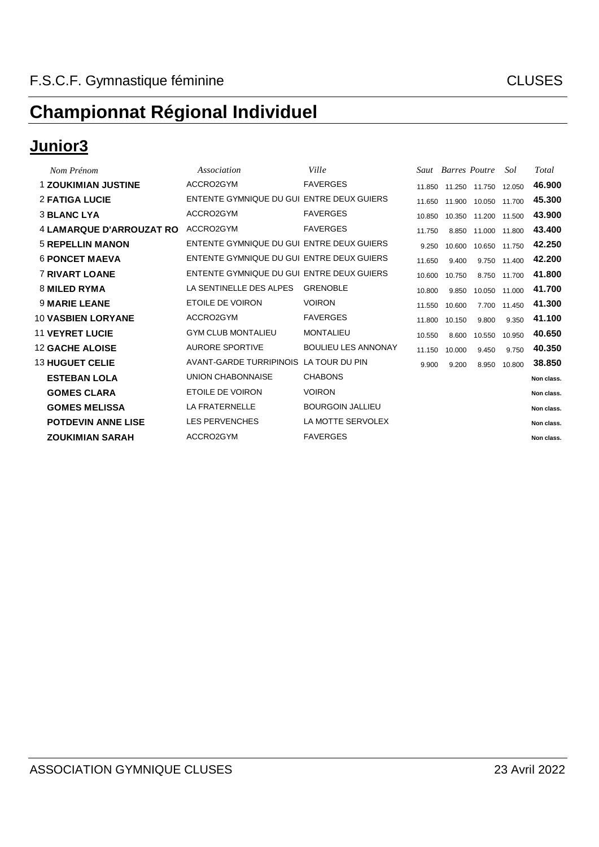### **Junior3**

| Nom Prénom                      | Association                               | Ville                      |        | <b>Saut</b> Barres Poutre |                      | Sol          | Total      |
|---------------------------------|-------------------------------------------|----------------------------|--------|---------------------------|----------------------|--------------|------------|
| <b>1 ZOUKIMIAN JUSTINE</b>      | ACCRO2GYM                                 | <b>FAVERGES</b>            | 11.850 |                           | 11.250 11.750 12.050 |              | 46.900     |
| <b>2 FATIGA LUCIE</b>           | ENTENTE GYMNIQUE DU GUI ENTRE DEUX GUIERS |                            | 11.650 | 11.900                    | 10.050 11.700        |              | 45.300     |
| <b>3 BLANC LYA</b>              | ACCRO2GYM                                 | <b>FAVERGES</b>            | 10.850 | 10.350                    | 11.200 11.500        |              | 43.900     |
| <b>4 LAMARQUE D'ARROUZAT RO</b> | ACCRO2GYM                                 | <b>FAVERGES</b>            | 11.750 | 8.850                     | 11.000 11.800        |              | 43.400     |
| <b>5 REPELLIN MANON</b>         | ENTENTE GYMNIQUE DU GUI ENTRE DEUX GUIERS |                            | 9.250  | 10.600                    | 10.650 11.750        |              | 42.250     |
| <b>6 PONCET MAEVA</b>           | ENTENTE GYMNIQUE DU GUI ENTRE DEUX GUIERS |                            | 11.650 | 9.400                     |                      | 9.750 11.400 | 42.200     |
| <b>7 RIVART LOANE</b>           | ENTENTE GYMNIQUE DU GUI ENTRE DEUX GUIERS |                            | 10.600 | 10.750                    | 8.750                | 11.700       | 41.800     |
| 8 MILED RYMA                    | LA SENTINELLE DES ALPES                   | <b>GRENOBLE</b>            | 10.800 | 9.850                     | 10.050               | 11.000       | 41.700     |
| <b>9 MARIE LEANE</b>            | ETOILE DE VOIRON                          | <b>VOIRON</b>              | 11.550 | 10.600                    | 7.700                | 11.450       | 41.300     |
| <b>10 VASBIEN LORYANE</b>       | ACCRO2GYM                                 | <b>FAVERGES</b>            | 11.800 | 10.150                    | 9.800                | 9.350        | 41.100     |
| <b>11 VEYRET LUCIE</b>          | <b>GYM CLUB MONTALIEU</b>                 | <b>MONTALIEU</b>           | 10.550 | 8.600                     | 10.550               | 10.950       | 40.650     |
| <b>12 GACHE ALOISE</b>          | <b>AURORE SPORTIVE</b>                    | <b>BOULIEU LES ANNONAY</b> | 11.150 | 10.000                    | 9.450                | 9.750        | 40.350     |
| <b>13 HUGUET CELIE</b>          | AVANT-GARDE TURRIPINOIS LA TOUR DU PIN    |                            | 9.900  | 9.200                     | 8.950                | 10.800       | 38,850     |
| <b>ESTEBAN LOLA</b>             | <b>UNION CHABONNAISE</b>                  | <b>CHABONS</b>             |        |                           |                      |              | Non class. |
| <b>GOMES CLARA</b>              | <b>ETOILE DE VOIRON</b>                   | <b>VOIRON</b>              |        |                           |                      |              | Non class. |
| <b>GOMES MELISSA</b>            | <b>LA FRATERNELLE</b>                     | <b>BOURGOIN JALLIEU</b>    |        |                           |                      |              | Non class. |
| <b>POTDEVIN ANNE LISE</b>       | <b>LES PERVENCHES</b>                     | LA MOTTE SERVOLEX          |        |                           |                      |              | Non class. |
| <b>ZOUKIMIAN SARAH</b>          | ACCRO2GYM                                 | <b>FAVERGES</b>            |        |                           |                      |              | Non class. |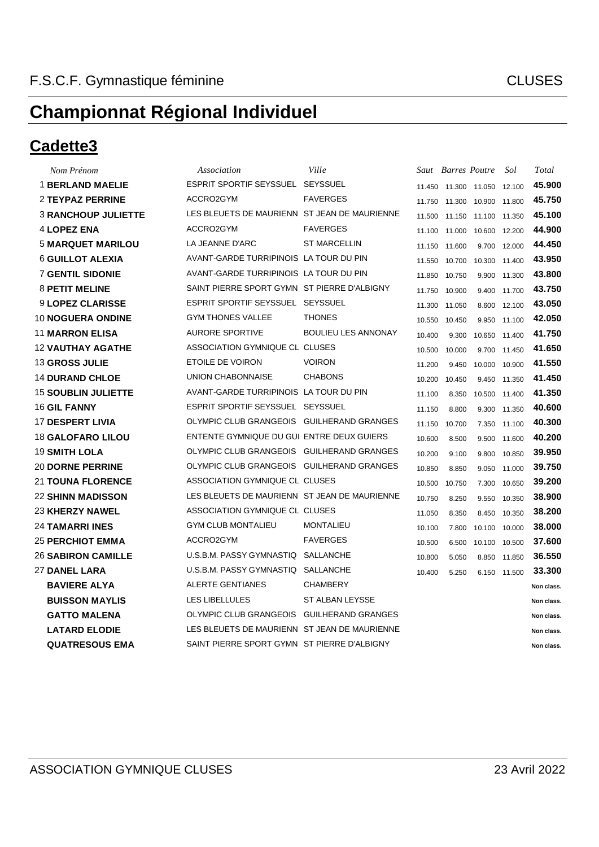#### **Cadette3**

| Nom Prénom                 | Association                                  | Ville                      |        | Saut Barres Poutre |                                | Sol          | Total      |
|----------------------------|----------------------------------------------|----------------------------|--------|--------------------|--------------------------------|--------------|------------|
| <b>1 BERLAND MAELIE</b>    | ESPRIT SPORTIF SEYSSUEL SEYSSUEL             |                            |        |                    | 11.450  11.300  11.050  12.100 |              | 45.900     |
| 2 TEYPAZ PERRINE           | ACCRO2GYM                                    | <b>FAVERGES</b>            | 11.750 |                    | 11.300 10.900 11.800           |              | 45.750     |
| <b>3 RANCHOUP JULIETTE</b> | LES BLEUETS DE MAURIENN ST JEAN DE MAURIENNE |                            |        |                    | 11.500 11.150 11.100 11.350    |              | 45.100     |
| <b>4 LOPEZ ENA</b>         | ACCRO2GYM                                    | <b>FAVERGES</b>            | 11.100 | 11.000             | 10.600                         | 12.200       | 44.900     |
| <b>5 MARQUET MARILOU</b>   | LA JEANNE D'ARC                              | <b>ST MARCELLIN</b>        |        | 11.150 11.600      |                                | 9.700 12.000 | 44.450     |
| <b>6 GUILLOT ALEXIA</b>    | AVANT-GARDE TURRIPINOIS LA TOUR DU PIN       |                            | 11.550 | 10.700             | 10.300                         | 11.400       | 43.950     |
| <b>7 GENTIL SIDONIE</b>    | AVANT-GARDE TURRIPINOIS LA TOUR DU PIN       |                            | 11.850 | 10.750             | 9.900                          | 11.300       | 43,800     |
| <b>8 PETIT MELINE</b>      | SAINT PIERRE SPORT GYMN ST PIERRE D'ALBIGNY  |                            | 11.750 | 10.900             |                                | 9.400 11.700 | 43.750     |
| <b>9 LOPEZ CLARISSE</b>    | ESPRIT SPORTIF SEYSSUEL SEYSSUEL             |                            | 11.300 | 11.050             | 8.600                          | 12.100       | 43.050     |
| <b>10 NOGUERA ONDINE</b>   | <b>GYM THONES VALLEE</b>                     | <b>THONES</b>              | 10.550 | 10.450             | 9.950                          | 11.100       | 42.050     |
| <b>11 MARRON ELISA</b>     | <b>AURORE SPORTIVE</b>                       | <b>BOULIEU LES ANNONAY</b> | 10.400 | 9.300              | 10.650                         | 11.400       | 41.750     |
| <b>12 VAUTHAY AGATHE</b>   | ASSOCIATION GYMNIQUE CL CLUSES               |                            | 10.500 | 10.000             |                                | 9.700 11.450 | 41.650     |
| <b>13 GROSS JULIE</b>      | ETOILE DE VOIRON                             | <b>VOIRON</b>              | 11.200 | 9.450              | 10.000                         | 10.900       | 41.550     |
| <b>14 DURAND CHLOE</b>     | UNION CHABONNAISE                            | <b>CHABONS</b>             | 10.200 | 10.450             | 9.450                          | 11.350       | 41.450     |
| <b>15 SOUBLIN JULIETTE</b> | AVANT-GARDE TURRIPINOIS LA TOUR DU PIN       |                            | 11.100 | 8.350              | 10.500                         | 11.400       | 41.350     |
| <b>16 GIL FANNY</b>        | ESPRIT SPORTIF SEYSSUEL SEYSSUEL             |                            | 11.150 | 8.800              | 9.300                          | 11.350       | 40.600     |
| <b>17 DESPERT LIVIA</b>    | OLYMPIC CLUB GRANGEOIS GUILHERAND GRANGES    |                            | 11.150 | 10.700             | 7.350                          | 11.100       | 40.300     |
| <b>18 GALOFARO LILOU</b>   | ENTENTE GYMNIQUE DU GUI ENTRE DEUX GUIERS    |                            | 10.600 | 8.500              | 9.500                          | 11.600       | 40.200     |
| <b>19 SMITH LOLA</b>       | OLYMPIC CLUB GRANGEOIS GUILHERAND GRANGES    |                            | 10.200 | 9.100              | 9.800                          | 10.850       | 39.950     |
| <b>20 DORNE PERRINE</b>    | OLYMPIC CLUB GRANGEOIS GUILHERAND GRANGES    |                            | 10.850 | 8.850              | 9.050                          | 11.000       | 39.750     |
| <b>21 TOUNA FLORENCE</b>   | ASSOCIATION GYMNIQUE CL CLUSES               |                            | 10.500 | 10.750             | 7.300                          | 10.650       | 39.200     |
| <b>22 SHINN MADISSON</b>   | LES BLEUETS DE MAURIENN ST JEAN DE MAURIENNE |                            | 10.750 | 8.250              | 9.550                          | 10.350       | 38,900     |
| <b>23 KHERZY NAWEL</b>     | ASSOCIATION GYMNIQUE CL CLUSES               |                            | 11.050 | 8.350              |                                | 8.450 10.350 | 38.200     |
| 24 TAMARRI INES            | <b>GYM CLUB MONTALIEU</b>                    | <b>MONTALIEU</b>           | 10.100 | 7.800              | 10.100                         | 10.000       | 38,000     |
| 25 PERCHIOT EMMA           | ACCRO2GYM                                    | <b>FAVERGES</b>            | 10.500 | 6.500              | 10.100 10.500                  |              | 37.600     |
| <b>26 SABIRON CAMILLE</b>  | U.S.B.M. PASSY GYMNASTIQ SALLANCHE           |                            | 10.800 | 5.050              |                                | 8.850 11.850 | 36.550     |
| <b>27 DANEL LARA</b>       | U.S.B.M. PASSY GYMNASTIQ SALLANCHE           |                            | 10.400 | 5.250              |                                | 6.150 11.500 | 33,300     |
| <b>BAVIERE ALYA</b>        | ALERTE GENTIANES                             | <b>CHAMBERY</b>            |        |                    |                                |              | Non class. |
| <b>BUISSON MAYLIS</b>      | <b>LES LIBELLULES</b>                        | ST ALBAN LEYSSE            |        |                    |                                |              | Non class. |
| <b>GATTO MALENA</b>        | OLYMPIC CLUB GRANGEOIS GUILHERAND GRANGES    |                            |        |                    |                                |              | Non class. |
| <b>LATARD ELODIE</b>       | LES BLEUETS DE MAURIENN ST JEAN DE MAURIENNE |                            |        |                    |                                |              | Non class. |
| <b>QUATRESOUS EMA</b>      | SAINT PIERRE SPORT GYMN ST PIERRE D'ALBIGNY  |                            |        |                    |                                |              | Non class. |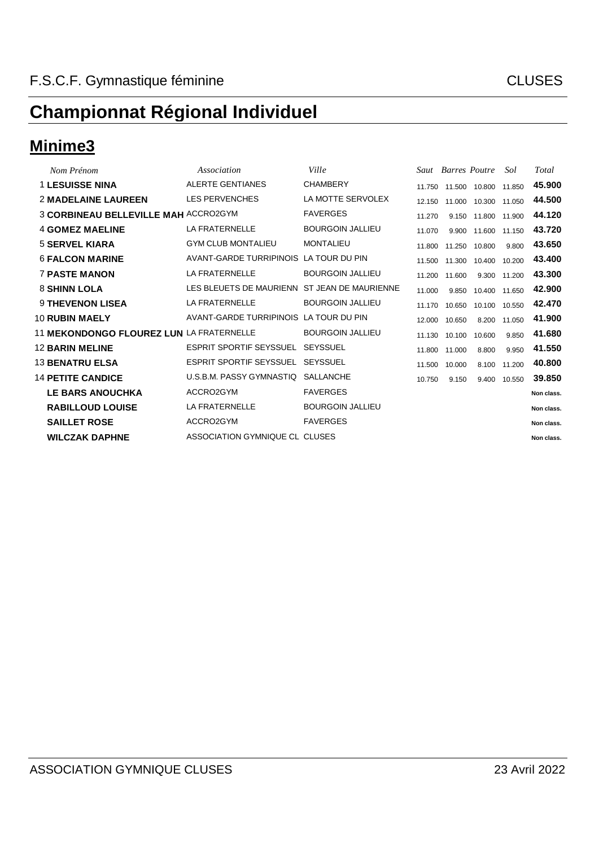#### **Minime3**

| Nom Prénom                                  | Association                                  | Ville                   |        | <b>Saut</b> Barres Poutre |               | Sol    | Total      |
|---------------------------------------------|----------------------------------------------|-------------------------|--------|---------------------------|---------------|--------|------------|
| <b>1 LESUISSE NINA</b>                      | ALERTE GENTIANES                             | <b>CHAMBERY</b>         | 11.750 |                           | 11.500 10.800 | 11.850 | 45.900     |
| <b>2 MADELAINE LAUREEN</b>                  | <b>LES PERVENCHES</b>                        | LA MOTTE SERVOLEX       | 12.150 |                           | 11.000 10.300 | 11.050 | 44.500     |
| <b>3 CORBINEAU BELLEVILLE MAH ACCRO2GYM</b> |                                              | <b>FAVERGES</b>         | 11.270 | 9.150                     | 11.800 11.900 |        | 44.120     |
| <b>4 GOMEZ MAELINE</b>                      | LA FRATERNELLE                               | <b>BOURGOIN JALLIEU</b> | 11.070 | 9.900                     | 11.600 11.150 |        | 43.720     |
| <b>5 SERVEL KIARA</b>                       | <b>GYM CLUB MONTALIEU</b>                    | <b>MONTALIEU</b>        | 11.800 |                           | 11.250 10.800 | 9.800  | 43.650     |
| <b>6 FALCON MARINE</b>                      | AVANT-GARDE TURRIPINOIS LA TOUR DU PIN       |                         | 11.500 | 11.300                    | 10.400        | 10.200 | 43.400     |
| <b>7 PASTE MANON</b>                        | LA FRATERNELLE                               | <b>BOURGOIN JALLIEU</b> | 11.200 | 11.600                    | 9.300         | 11.200 | 43,300     |
| <b>8 SHINN LOLA</b>                         | LES BLEUETS DE MAURIENN ST JEAN DE MAURIENNE |                         | 11.000 | 9.850                     | 10.400 11.650 |        | 42.900     |
| <b>9 THEVENON LISEA</b>                     | <b>LA FRATERNELLE</b>                        | <b>BOURGOIN JALLIEU</b> | 11.170 | 10.650                    | 10.100 10.550 |        | 42.470     |
| <b>10 RUBIN MAELY</b>                       | AVANT-GARDE TURRIPINOIS LA TOUR DU PIN       |                         | 12.000 | 10.650                    | 8.200         | 11.050 | 41.900     |
| 11 MEKONDONGO FLOUREZ LUN LA FRATERNELLE    |                                              | <b>BOURGOIN JALLIEU</b> | 11.130 | 10.100                    | 10.600        | 9.850  | 41.680     |
| <b>12 BARIN MELINE</b>                      | ESPRIT SPORTIF SEYSSUEL                      | SEYSSUEL                | 11.800 | 11.000                    | 8.800         | 9.950  | 41.550     |
| <b>13 BENATRU ELSA</b>                      | ESPRIT SPORTIF SEYSSUEL                      | SEYSSUEL                | 11.500 | 10.000                    | 8.100         | 11.200 | 40.800     |
| <b>14 PETITE CANDICE</b>                    | U.S.B.M. PASSY GYMNASTIQ                     | SALLANCHE               | 10.750 | 9.150                     | 9.400         | 10.550 | 39.850     |
| <b>LE BARS ANOUCHKA</b>                     | ACCRO2GYM                                    | <b>FAVERGES</b>         |        |                           |               |        | Non class. |
| <b>RABILLOUD LOUISE</b>                     | LA FRATERNELLE                               | <b>BOURGOIN JALLIEU</b> |        |                           |               |        | Non class. |
| <b>SAILLET ROSE</b>                         | ACCRO2GYM                                    | <b>FAVERGES</b>         |        |                           |               |        | Non class. |
| <b>WILCZAK DAPHNE</b>                       | ASSOCIATION GYMNIQUE CL CLUSES               |                         |        |                           |               |        | Non class. |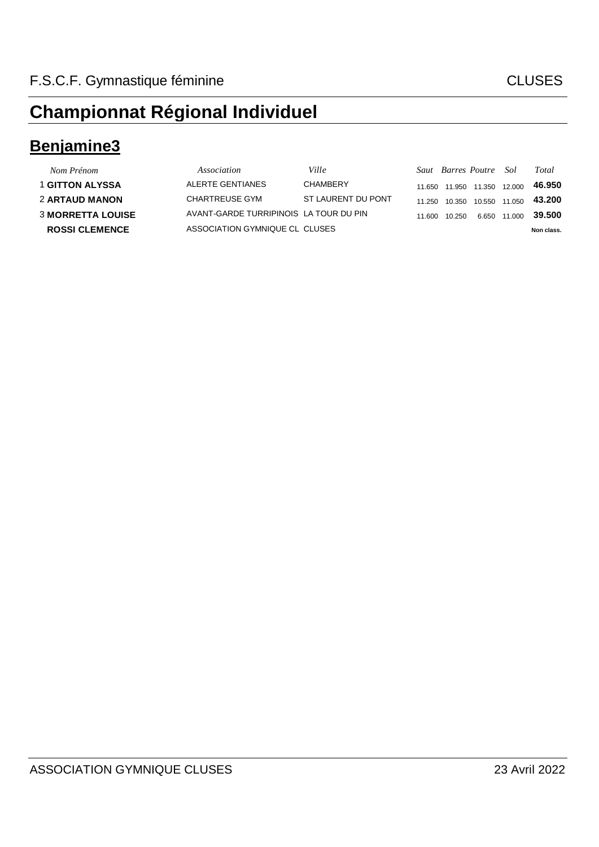#### **Benjamine3**

| Nom Prénom               | Association                            | Ville              |        | Saut Barres Poutre Sol |               |              | Total      |
|--------------------------|----------------------------------------|--------------------|--------|------------------------|---------------|--------------|------------|
| 1 GITTON ALYSSA          | ALERTE GENTIANES                       | <b>CHAMBERY</b>    | 11.650 | 11.950                 | 11.350 12.000 |              | 46.950     |
| <b>2 ARTAUD MANON</b>    | CHARTREUSE GYM                         | ST LAURENT DU PONT | 11 250 | 10.350                 | 10.550 11.050 |              | 43.200     |
| <b>3 MORRETTA LOUISE</b> | AVANT-GARDE TURRIPINOIS LA TOUR DU PIN |                    | 11.600 | 10 250                 |               | 6.650 11.000 | 39.500     |
| <b>ROSSI CLEMENCE</b>    | ASSOCIATION GYMNIQUE CL CLUSES         |                    |        |                        |               |              | Non class. |
|                          |                                        |                    |        |                        |               |              |            |